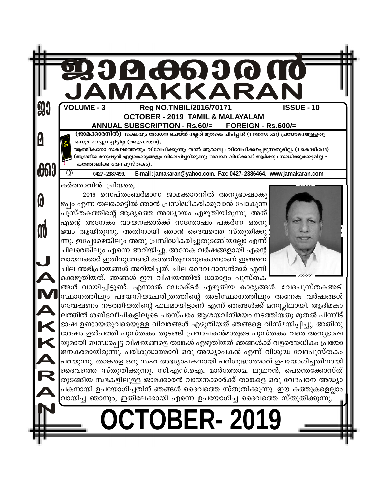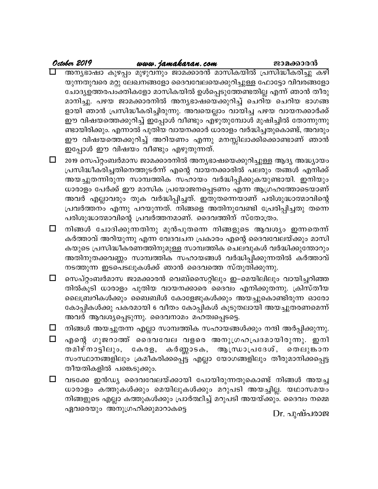#### October 2019 www.jamakaran.com

ജാമക്കാരൻ

അന്യഭാഷാ കുഴപ്പം മുഴുവനും ജാമക്കാരൻ മാസികയിൽ പ്രസിദ്ധീകരിച്ചു കഴി യുന്നതുവരെ മറ്റു ലേഖനങ്ങളോ ദൈവവേലയെക്കുറിച്ചുള്ള ഫോട്ടോ വിവരങ്ങളോ ചോദ്യഉത്തരപംക്തികളോ മാസികയിൽ ഉൾപ്പെടുത്തേണ്ടതില്ല എന്ന് ഞാൻ തീരു മാനിച്ചു. പഴയ ജാമക്കാരനിൽ അന്യഭാഷയെക്കുറിച്ച് ചെറിയ ചെറിയ ഭാഗങ്ങ ളായി ഞാൻ പ്രസിദ്ധീകരിച്ചിരുന്നു. അവയെല്ലാം വായിച്ച പഴയ വായനക്കാർക്ക് ഈ വിഷയത്തെക്കുറിച്ച് ഇപ്പോൾ വീണ്ടും എഴുതുമ്പോൾ മുഷിച്ചിൽ തോന്നുന്നു ണ്ടായിരിക്കും. എന്നാൽ പുതിയ വായനക്കാർ ധാരാളം വർദ്ധിച്ചതുകൊണ്ട്, അവരും ഈ വിഷയത്തെക്കുറിച്ച് അറിയണം എന്നു മനസ്സിലാക്കിക്കൊണ്ടാണ് ഞാൻ ഇപ്പോൾ ഈ വിഷയം വീണ്ടും എഴുതുന്നത്.

 $\Box$ 2019 സെപ്റ്റംബർമാസ ജാമക്കാരനിൽ അന്യഭാഷയെക്കുറിച്ചുള്ള ആദ്യ അദ്ധ്യായം പ്രസിദ്ധീകരിച്ചതിനെത്തുടർന്ന് എന്റെ വായനക്കാരിൽ പലരും തങ്ങൾ എനിക്ക് അയച്ചുതന്നിരുന്ന സാമ്പത്തിക സഹായം വർദ്ധിപ്പിക്കുകയുണ്ടായി. ഇനിയും ധാരാളം പേർക്ക് ഈ മാസിക പ്രയോജനപ്പെടണം എന്ന ആഗ്രഹത്തോടെയാണ് അവർ എല്ലാവരും തുക വർദ്ധിപ്പിച്ചത്. ഇതുതന്നെയാണ് പരിശുദ്ധാത്മാവിന്റെ പ്രവർത്തനം എന്നു പറയുന്നത്. നിങ്ങളെ അതിനുവേണ്ടി പ്രേരിപ്പിച്ചതു തന്നെ പരിശുദ്ധാത്മാവിന്റെ പ്രവർത്തനമാണ്. ദൈവത്തിന് സ്തോത്രം.

നിങ്ങൾ ചോദിക്കുന്നതിനു മുൻപുതന്നെ നിങ്ങളുടെ ആവശ്യം ഇന്നതെന്ന് □. കർത്താവ് അറിയുന്നു എന്ന വേദവചന പ്രകാരം എന്റെ ദൈവവേലയ്ക്കും മാസി കയുടെ പ്രസിദ്ധീകരണത്തിനുമുള്ള സാമ്പത്തിക ചെലവുകൾ വർദ്ധിക്കുന്തോറും അതിനുതക്കവണ്ണം സാമ്പത്തിക സഹായങ്ങൾ വർദ്ധിപ്പിക്കുന്നതിൽ കർത്താവ് നടത്തുന്ന ഇടപെടലുകൾക്ക് ഞാൻ ദൈവത്തെ സ്തുതിക്കുന്നു.

- $\Box$ സെപ്റ്റംബർമാസ ജാമക്കാരൻ വെബ്സൈറ്റിലും ഇ–മെയിലിലും വായിച്ചറിഞ്ഞ തിൽകുടി ധാരാളം പുതിയ വായനക്കാരെ ദൈവം എനിക്കുതന്നു. ക്രിസ്തീയ ലൈബ്രറികൾക്കും ബൈബിൾ കോളേജുകൾക്കും അയച്ചുകൊണ്ടിരുന്ന ഓരോ കോപ്പികൾക്കു പകരമായി 6 വീതം കോപ്പികൾ കൂടുതലായി അയച്ചുതരണമെന്ന് അവർ ആവശ്യപ്പെടുന്നു. ദൈവനാമം മഹത്വപ്പെടട്ടെ.
- $\Box$ നിങ്ങൾ അയച്ചുതന്ന എല്ലാ സാമ്പത്തിക സഹായങ്ങൾക്കും നന്ദി അർപ്പിക്കുന്നു.
- എന്റെ ഗുജറാത്ത് ദൈവവേല വളരെ അനുഗ്രഹപ്രദമായിരുന്നു. ഇനി  $\Box$ കർണ്ണാടക, ആന്ധ്രാപ്രദേശ്, തെലുങ്കാന തമിഴ്നാട്ടിലും, കേരള, സംസ്ഥാനങ്ങളിലും ക്രമീകരിക്കപ്പെട്ട എല്ലാ യോഗങ്ങളിലും തീരുമാനിക്കപ്പെട്ട തീയതികളിൽ പങ്കെടുക്കും.
- □ വടക്കേ ഇൻഡ്യ ദൈവവേലയ്ക്കായി പോയിരുന്നതുകൊണ്ട് നിങ്ങൾ അയച്ച ധാരാളം കത്തുകൾക്കും മെയിലുകൾക്കും മറുപടി അയച്ചില്ല. യഥാസമയം നിങ്ങളുടെ എല്ലാ കത്തുകൾക്കും പ്രാർത്ഥിച്ച് മറുപടി അയയ്ക്കും. ദൈവം നമ്മെ ഏവരെയും അനുഗ്രഹിക്കുമാറാകട്ടെ

Dr. പുഷ്പരാജ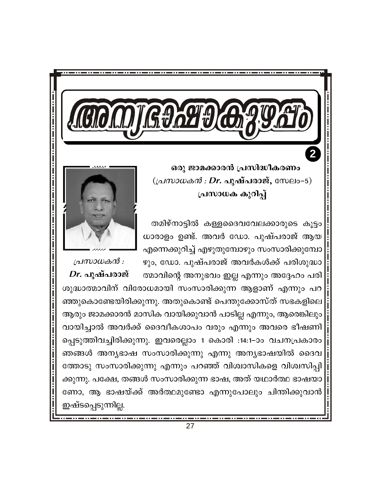ഒരു ജാമക്കാരൻ പ്രസിദ്ധീകരണം  $((\Delta M) \cup \Delta M) \cdot Dr.$  പുഷ്പരാജ്, സേലം–5) പ്രസാധക കുറിപ്പ്

തമിഴ്നാട്ടിൽ കള്ളദൈവവേലക്കാരുടെ കൂട്ടം ധാരാളം ഉണ്ട്. അവർ ഡോ. പുഷ്പരാജ് ആയ എന്നെക്കുറിച്ച് എഴുതുമ്പോഴും സംസാരിക്കുമ്പോ ഴും, ഡോ. പുഷ്പരാജ് അവർകൾക്ക് പരിശുദ്ധാ

പ്രസാധകൻ :  $Dr.$  പുഷ്പരാജ് ത്മാവിന്റെ അനുഭവം ഇല്ല എന്നും അദ്ദേഹം പരി ശുദ്ധാത്മാവിന് വിരോധമായി സംസാരിക്കുന്ന ആളാണ് എന്നും പറ ഞ്ഞുകൊണ്ടേയിരിക്കുന്നു. അതുകൊണ്ട് പെന്തുക്കോസ്ത് സഭകളിലെ ആരും ജാമക്കാരൻ മാസിക വായിക്കുവാൻ പാടില്ല എന്നും, ആരെങ്കിലും വായിച്ചാൽ അവർക്ക് ദൈവീകശാപം വരും എന്നും അവരെ ഭീഷണി പ്പെടുത്തിവച്ചിരിക്കുന്നു. ഇവരെല്ലാം 1 കൊരി :14:1–ാം വചനപ്രകാരം ഞങ്ങൾ അന്യഭാഷ സംസാരിക്കുന്നു എന്നു അന്യഭാഷയിൽ ദൈവ ത്തോടു സംസാരിക്കുന്നു എന്നും പറഞ്ഞ് വിശ്വാസികളെ വിശ്വസിപ്പി ക്കുന്നു. പക്ഷേ, തങ്ങൾ സംസാരിക്കുന്ന ഭാഷ, അത് യഥാർത്ഥ ഭാഷയാ ണോ, ആ ഭാഷയ്ക്ക് അർത്ഥമുണ്ടോ എന്നുപോലും ചിന്തിക്കുവാൻ ഇഷ്ടപ്പെടുന്നില്ല.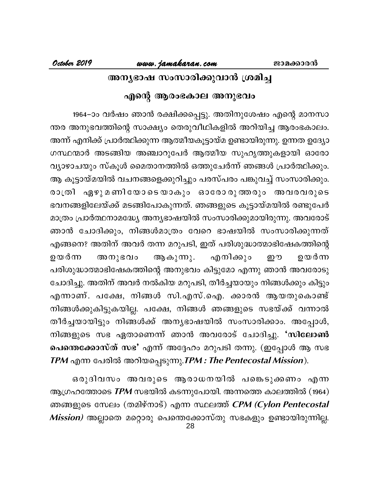### അനൃഭാഷ സംസാരിക്കുവാൻ ശ്രമിച്ച

### എന്റെ ആരംഭകാല അനുഭവം

1964–ാം വർഷം ഞാൻ രക്ഷിക്കപ്പെട്ടു. അതിനുശേഷം എന്റെ മാനസാ ന്തര അനുഭവത്തിന്റെ സാക്ഷ്യം തെരുവീഥികളിൽ അറിയിച്ച ആരംഭകാലം. അന്ന് എനിക്ക് പ്രാർത്ഥിക്കുന്ന ആത്മീയകൂട്ടായ്മ ഉണ്ടായിരുന്നു. ഉന്നത ഉദ്യോ ഗസ്ഥന്മാർ അടങ്ങിയ അഞ്ചാറുപേർ ആത്മീയ സുഹൃത്തുകളായി ഓരോ വ്യാഴാചയും സ്കൂൾ മൈതാനത്തിൽ ഒത്തുചേർന്ന് ഞങ്ങൾ പ്രാർത്ഥിക്കും. ആ കൂട്ടായ്മയിൽ വചനങ്ങളെക്കുറിച്ചും പരസ്പരം പങ്കുവച്ച് സംസാരിക്കും. രാത്രി ഏഴുമണിയോടെയാകും ഓരോരുത്തരും അവരവരുടെ ഭവനങ്ങളിലേയ്ക്ക് മടങ്ങിപോകുന്നത്. ഞങ്ങളുടെ കൂട്ടായ്മയിൽ രണ്ടുപേർ മാത്രം പ്രാർത്ഥനാമദ്ധ്യേ അന്യഭാഷയിൽ സംസാരിക്കുമായിരുന്നു. അവരോട് ഞാൻ ചോദിക്കും, നിങ്ങൾമാത്രം വേറെ ഭാഷയിൽ സംസാരിക്കുന്നത് എങ്ങനെ? അതിന് അവർ തന്ന മറുപടി, ഇത് പരിശുദ്ധാത്മാഭിഷേകത്തിന്റെ എനിക്കും ഉയർന്ന ആകുന്നു. ഉയർന്ന അനുഭവം ഈ പരിശുദ്ധാത്മാഭിഷേകത്തിന്റെ അനുഭവം കിട്ടുമോ എന്നു ഞാൻ അവരോടു ചോദിച്ചു. അതിന് അവർ നൽകിയ മറുപടി, തീർച്ചയായും നിങ്ങൾക്കും കിട്ടും എന്നാണ്. പക്ഷേ, നിങ്ങൾ സി.എസ്.ഐ. ക്കാരൻ ആയതുകൊണ്ട് നിങ്ങൾക്കുകിട്ടുകയില്ല. പക്ഷേ, നിങ്ങൾ ഞങ്ങളുടെ സഭയ്ക്ക് വന്നാൽ തീർച്ചയായിട്ടും നിങ്ങൾക്ക് അനൃഭാഷയിൽ സംസാരിക്കാം. അപ്പോൾ, നിങ്ങളുടെ സഭ ഏതാണെന്ന് ഞാൻ അവരോട് ചോദിച്ചു. 'സിലോൺ പെന്തെക്കോസ്ത് സഭ' എന്ന് അദ്ദേഹം മറുപടി തന്നു. (ഇപ്പോൾ ആ സഭ TPM എന്ന പേരിൽ അറിയപ്പെടുന്നു.TPM : The Pentecostal Mission).

ഒരുദിവസം അവരുടെ ആരാധനയിൽ പങ്കെടുക്കണം എന്ന ആഗ്രഹത്തോടെ  $TPM$  സഭയിൽ കടന്നുപോയി. അന്നത്തെ കാലത്തിൽ (1964) ഞങ്ങളുടെ സേലം (തമിഴ്നാട്) എന്ന സ്ഥലത്ത് CPM (Cylon Pentecostal *Mission)* അല്ലാതെ മറ്റൊരു പെന്തെക്കോസ്തു സഭകളും ഉണ്ടായിരുന്നില്ല.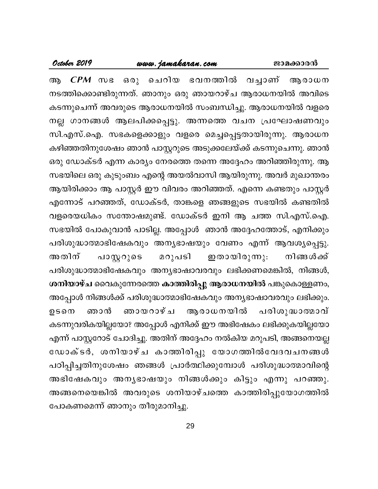### <u>www.jamaka</u>ran.com

 $CPM$   $\infty$ ചെറിയ ഭവനത്തിൽ വച്ചാണ് ആരാധന ഒരു ആ നടത്തിക്കൊണ്ടിരുന്നത്. ഞാനും ഒരു ഞായറാഴ്ച ആരാധനയിൽ അവിടെ കടന്നുചെന്ന് അവരുടെ ആരാധനയിൽ സംബന്ധിച്ചു. ആരാധനയിൽ വളരെ നല്ല ഗാനങ്ങൾ ആലപിക്കപ്പെട്ടു. അന്നത്തെ വചന പ്രഘോഷണവും സി.എസ്.ഐ. സഭകളെക്കാളും വളരെ മെച്ചപ്പെട്ടതായിരുന്നു. ആരാധന കഴിഞ്ഞതിനുശേഷം ഞാൻ പാസ്റ്ററുടെ അടുക്കലേയ്ക്ക് കടന്നുചെന്നു. ഞാൻ ഒരു ഡോക്ടർ എന്ന കാര്യം നേരത്തെ തന്നെ അദ്ദേഹം അറിഞ്ഞിരുന്നു. ആ സഭയിലെ ഒരു കുടുംബം എന്റെ അയൽവാസി ആയിരുന്നു. അവർ മുഖാന്തരം ആയിരിക്കാം ആ പാസ്റ്റർ ഈ വിവരം അറിഞ്ഞത്. എന്നെ കണ്ടതും പാസ്റ്റർ എന്നോട് പറഞ്ഞത്, ഡോക്ടർ, താങ്കളെ ഞങ്ങളുടെ സഭയിൽ കണ്ടതിൽ വളരെയധികം സന്തോഷമുണ്ട്. ഡോക്ടർ ഇനി ആ ചത്ത സി.എസ്.ഐ. സഭയിൽ പോകുവാൻ പാടില്ല. അപ്പോൾ ഞാൻ അദ്ദേഹത്തോട്, എനിക്കും പരിശുദ്ധാത്മാഭിഷേകവും അന്യഭാഷയും വേണം എന്ന് ആവശൃപ്പെട്ടു. പാസ്റ്ററുടെ ഇതായിരുന്നു. അതിന് മറുപടി നിങ്ങൾക്ക് പരിശുദ്ധാത്മാഭിഷേകവും അന്യഭാഷാവരവും ലഭിക്കണമെങ്കിൽ, നിങ്ങൾ, ശനിയാഴ്ച വൈകുന്നേരത്തെ കാത്തിരിപ്പു ആരാധനയിൽ പങ്കുകൊള്ളണം, അപ്പോൾ നിങ്ങൾക്ക് പരിശുദ്ധാത്മാഭിഷേകവും അന്യഭാഷാവരവും ലഭിക്കും. ഞായറാഴ്ച ആരാധനയിൽ പരിശുദ്ധാത്മാവ് ഞാൻ ഉടനെ കടന്നുവരികയില്ലയോ? അപ്പോൾ എനിക്ക് ഈ അഭിഷേകം ലഭിക്കുകയില്ലയോ എന്ന് പാസ്റ്ററോട് ചോദിച്ചു. അതിന് അദ്ദേഹം നൽകിയ മറുപടി, അങ്ങനെയല്ല ഡോക്ടർ, ശനിയാഴ്ച കാത്തിരിപ്പു യോഗത്തിൽവേദവചനങ്ങൾ പഠിപ്പിച്ചതിനുശേഷം ഞങ്ങൾ പ്രാർത്ഥിക്കുമ്പോൾ പരിശുദ്ധാത്മാവിന്റെ അഭിഷേകവും അനൃഭാഷയും നിങ്ങൾക്കും കിട്ടും എന്നു പറഞ്ഞു. അങ്ങനെയെങ്കിൽ അവരുടെ ശനിയാഴ്ചത്തെ കാത്തിരിപ്പുയോഗത്തിൽ പോകണമെന്ന് ഞാനും തീരുമാനിച്ചു.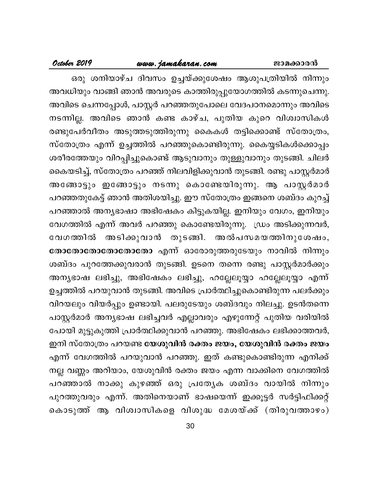### <u>www.jamakaran.com</u>

#### October 2019

ഒരു ശനിയാഴ്ച ദിവസം ഉച്ചയ്ക്കുശേഷം ആശുപത്രിയിൽ നിന്നും അവധിയും വാങ്ങി ഞാൻ അവരുടെ കാത്തിരുപ്പുയോഗത്തിൽ കടന്നുചെന്നു. അവിടെ ചെന്നപ്പോൾ, പാസ്റ്റർ പറഞ്ഞതുപോലെ വേദപഠനമൊന്നും അവിടെ നടന്നില്ല. അവിടെ ഞാൻ കണ്ട കാഴ്ച, പുതിയ കുറെ വിശ്വാസികൾ രണ്ടുപേർവീതം അടുത്തടുത്തിരുന്നു കൈകൾ തട്ടിക്കൊണ്ട് സ്തോത്രം, സ്തോത്രം എന്ന് ഉച്ചത്തിൽ പറഞ്ഞുകൊണ്ടിരുന്നു. കൈയ്യടികൾക്കൊപ്പം ശരീരത്തേയും വിറപ്പിച്ചുകൊണ്ട് ആടുവാനും തുള്ളുവാനും തുടങ്ങി. ചിലർ കൈയടിച്ച്, സ്തോത്രം പറഞ്ഞ് നിലവിളിക്കുവാൻ തുടങ്ങി. രണ്ടു പാസ്റ്റർമാർ അങ്ങോട്ടും ഇങ്ങോട്ടും നടന്നു കൊണ്ടേയിരുന്നു. ആ പാസ്റ്റർമാർ പറഞ്ഞതുകേട്ട് ഞാൻ അതിശയിച്ചു. ഈ സ്തോത്രം ഇങ്ങനെ ശബ്ദം കുറച്ച് പറഞ്ഞാൽ അന്യഭാഷാ അഭിഷേകം കിട്ടുകയില്ല. ഇനിയും വേഗം, ഇനിയും വേഗത്തിൽ എന്ന് അവർ പറഞ്ഞു കൊണ്ടേയിരുന്നു. ഡ്രം അടിക്കുന്നവർ, അടിക്കുവാൻ തുടങ്ങി. അൽപസമയത്തിനുശേഷം, വേഗത്തിൽ തോതോതോതോതോതോ എന്ന് ഓരോരുത്തരുടേയും നാവിൽ നിന്നും ശബ്ദം പുറത്തേക്കുവരാൻ തുടങ്ങി. ഉടനെ തന്നെ രണ്ടു പാസ്റ്റർമാർക്കും അന്യഭാഷ ലഭിച്ചു, അഭിഷേകം ലഭിച്ചു, ഹല്ലേലൂയ്യാ ഹല്ലേലൂയ്യാ എന്ന് ഉച്ചത്തിൽ പറയുവാൻ തുടങ്ങി. അവിടെ പ്രാർത്ഥിച്ചുകൊണ്ടിരുന്ന പലർക്കും വിറയലും വിയർപ്പും ഉണ്ടായി. പലരുടേയും ശബ്ദവും നിലച്ചു. ഉടൻതന്നെ പാസ്റ്റർമാർ അന്യഭാഷ ലഭിച്ചവർ എല്ലാവരും എഴുന്നേറ്റ് പുതിയ വരിയിൽ പോയി മുട്ടുകുത്തി പ്രാർത്ഥിക്കുവാൻ പറഞ്ഞു. അഭിഷേകം ലഭിക്കാത്തവർ, ഇനി സ്തോത്രം പറയണ്ട യേശുവിൻ രക്തം ജയം, യേശുവിൻ രക്തം ജയം എന്ന് വേഗത്തിൽ പറയുവാൻ പറഞ്ഞു. ഇത് കണ്ടുകൊണ്ടിരുന്ന എനിക്ക് നല്ല വണ്ണം അറിയാം, യേശുവിൻ രക്തം ജയം എന്ന വാക്കിനെ വേഗത്തിൽ പറഞ്ഞാൽ നാക്കു കുഴഞ്ഞ് ഒരു പ്രത്യേക ശബ്ദം വായിൽ നിന്നും പുറത്തുവരും എന്ന്. അതിനെയാണ് ഭാഷയെന്ന് ഇക്കൂട്ടർ സർട്ടിഫിക്കറ്റ് കൊടുത്ത് ആ വിശ്വാസികളെ വിശുദ്ധ മേശയ്ക്ക് (തിരുവത്താഴം)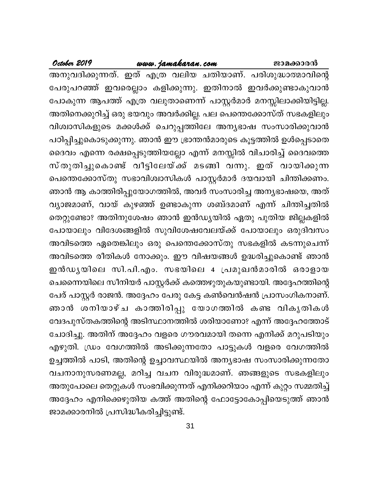### www.jamakaran.com

October 2019

അനുവദിക്കുന്നത്. ഇത് എത്ര വലിയ ചതിയാണ്. പരിശുദ്ധാത്മാവിന്റെ പേരുപറഞ്ഞ് ഇവരെല്ലാം കളിക്കുന്നു. ഇതിനാൽ ഇവർക്കുണ്ടാകുവാൻ പോകുന്ന ആപത്ത് എത്ര വലുതാണെന്ന് പാസ്റ്റർമാർ മനസ്സിലാക്കിയിട്ടില്ല. അതിനെക്കുറിച്ച് ഒരു ഭയവും അവർക്കില്ല. പല പെന്തെക്കോസ്ത് സഭകളിലും വിശ്വാസികളുടെ മക്കൾക്ക് ചെറുപ്പത്തിലേ അന്യഭാഷ സംസാരിക്കുവാൻ പഠിപ്പിച്ചുകൊടുക്കുന്നു. ഞാൻ ഈ ഭ്രാന്തൻമാരുടെ കൂട്ടത്തിൽ ഉൾപ്പെടാതെ ദൈവം എന്നെ രക്ഷപ്പെടുത്തിയല്ലോ എന്ന് മനസ്സിൽ വിചാരിച്ച് ദൈവത്തെ സ്തുതിച്ചുകൊണ്ട് വീട്ടിലേയ്ക്ക് മടങ്ങി വന്നു. ഇത് വായിക്കുന്ന പെന്തെക്കോസ്തു സഭാവിശ്വാസികൾ പാസ്റ്റർമാർ ദയവായി ചിന്തിക്കണം. ഞാൻ ആ കാത്തിരിപ്പുയോഗത്തിൽ, അവർ സംസാരിച്ച അന്യഭാഷയെ, അത് വ്യാജമാണ്, വായ് കുഴഞ്ഞ് ഉണ്ടാകുന്ന ശബ്ദമാണ് എന്ന് ചിന്തിച്ചതിൽ തെറ്റുണ്ടോ? അതിനുശേഷം ഞാൻ ഇൻഡ്യയിൽ ഏതു പുതിയ ജില്ലകളിൽ പോയാലും വിദേശങ്ങളിൽ സുവിശേഷവേലയ്ക്ക് പോയാലും ഒരുദിവസം അവിടത്തെ ഏതെങ്കിലും ഒരു പെന്തെക്കോസ്തു സഭകളിൽ കടന്നുചെന്ന് അവിടത്തെ രീതികൾ നോക്കും. ഈ വിഷയങ്ങൾ ഉദ്ധരിച്ചുകൊണ്ട് ഞാൻ ഇൻഡൃയിലെ സി.പി.എം. സഭയിലെ 4 പ്രമുഖൻമാരിൽ ഒരാളായ ചെന്നൈയിലെ സീനിയർ പാസ്റ്റർക്ക് കത്തെഴുതുകയുണ്ടായി. അദ്ദേഹത്തിന്റെ പേര് പാസ്റ്റർ രാജൻ. അദ്ദേഹം പേരു കേട്ട കൺവെൻഷൻ പ്രാസംഗികനാണ്. ഞാൻ ശനിയാഴ്ച കാത്തിരിപ്പു യോഗത്തിൽ കണ്ട വികൃതികൾ വേദപുസ്തകത്തിന്റെ അടിസ്ഥാനത്തിൽ ശരിയാണോ? എന്ന് അദ്ദേഹത്തോട് ചോദിച്ചു. അതിന് അദ്ദേഹം വളരെ ഗൗരവമായി തന്നെ എനിക്ക് മറുപടിയും എഴുതി. ഡ്രം വേഗത്തിൽ അടിക്കുന്നതോ പാട്ടുകൾ വളരെ വേഗത്തിൽ ഉച്ചത്തിൽ പാടി, അതിന്റെ ഉച്ചാവസ്ഥയിൽ അന്യഭാഷ സംസാരിക്കുന്നതോ വചനാനുസരണമല്ല, മറിച്ച വചന വിരുദ്ധമാണ്. ഞങ്ങളുടെ സഭകളിലും അതുപോലെ തെറ്റുകൾ സംഭവിക്കുന്നത് എനിക്കറിയാം എന്ന് കുറ്റം സമ്മതിച്ച് അദ്ദേഹം എനിക്കെഴുതിയ കത്ത് അതിന്റെ ഫോട്ടോകോപ്പിയെടുത്ത് ഞാൻ ജാമക്കാരനിൽ പ്രസിദ്ധീകരിച്ചിട്ടുണ്ട്.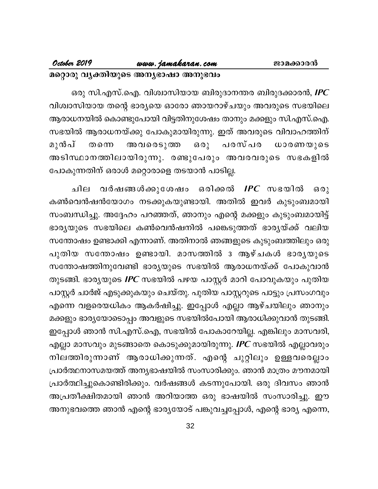### www.jamakaran.com

October 2019

മറ്റൊരു വ്യക്തിയുടെ അന്യഭാഷാ അനുഭവം

ഒരു സി.എസ്.ഐ. വിശ്വാസിയായ ബിരുദാനന്തര ബിരുദക്കാരൻ, **IPC** വിശ്വാസിയായ തന്റെ ഭാര്യയെ ഓരോ ഞായറാഴ്ചയും അവരുടെ സഭയിലെ ആരാധനയിൽ കൊണ്ടുപോയി വിട്ടതിനുശേഷം താനും മക്കളും സി.എസ്.ഐ. സഭയിൽ ആരാധനയ്ക്കു പോകുമായിരുന്നു. ഇത് അവരുടെ വിവാഹത്തിന് മുൻപ് ധാരണയുടെ അവരെടുത്ത  $602$ പരസ്പര തന്നെ അടിസ്ഥാനത്തിലായിരുന്നു. രണ്ടുപേരും അവരവരുടെ സഭകളിൽ പോകുന്നതിന് ഒരാൾ മറ്റൊരാളെ തടയാൻ പാടില്ല.

വർഷങ്ങൾക്കുശേഷം ഒരിക്കൽ  $\textit{IPC}$  സഭയിൽ ചില  $630$ കൺവെൻഷൻയോഗം നടക്കുകയുണ്ടായി. അതിൽ ഇവർ കുടുംബമായി സംബന്ധിച്ചു. അദ്ദേഹം പറഞ്ഞത്, ഞാനും എന്റെ മക്കളും കുടുംബമായിട്ട് ഭാര്യയുടെ സഭയിലെ കൺവെൻഷനിൽ പങ്കെടുത്തത് ഭാര്യയ്ക്ക് വലിയ സന്തോഷം ഉണ്ടാക്കി എന്നാണ്. അതിനാൽ ഞങ്ങളുടെ കുടുംബത്തിലും ഒരു പുതിയ സന്തോഷം ഉണ്ടായി. മാസത്തിൽ 3 ആഴ്ചകൾ ഭാരൃയുടെ സന്തോഷത്തിനുവേണ്ടി ഭാര്യയുടെ സഭയിൽ ആരാധനയ്ക്ക് പോകുവാൻ തുടങ്ങി. ഭാര്യയുടെ IPC സഭയിൽ പഴയ പാസ്റ്റർ മാറി പോവുകയും പുതിയ പാസ്റ്റർ ചാർജ് എടുക്കുകയും ചെയ്തു. പുതിയ പാസ്റ്ററുടെ പാട്ടും പ്രസംഗവും എന്നെ വളരെയധികം ആകർഷിച്ചു. ഇപ്പോൾ എല്ലാ ആഴ്ചയിലും ഞാനും മക്കളും ഭാര്യയോടൊപ്പം അവളുടെ സഭയിൽപോയി ആരാധിക്കുവാൻ തുടങ്ങി. ഇപ്പോൾ ഞാൻ സി.എസ്.ഐ, സഭയിൽ പോകാറേയില്ല. എങ്കിലും മാസവരി, എല്ലാ മാസവും മുടങ്ങാതെ കൊടുക്കുമായിരുന്നു. IPC സഭയിൽ എല്ലാവരും നിലത്തിരുന്നാണ് ആരാധിക്കുന്നത്. എന്റെ ചുറ്റിലും ഉള്ളവരെല്ലാം പ്രാർത്ഥനാസമയത്ത് അന്യഭാഷയിൽ സംസാരിക്കും. ഞാൻ മാത്രം മൗനമായി പ്രാർത്ഥിച്ചുകൊണ്ടിരിക്കും. വർഷങ്ങൾ കടന്നുപോയി. ഒരു ദിവസം ഞാൻ അപ്രതീക്ഷിതമായി ഞാൻ അറിയാത്ത ഒരു ഭാഷയിൽ സംസാരിച്ചു. ഈ അനുഭവത്തെ ഞാൻ എന്റെ ഭാര്യയോട് പങ്കുവച്ചപ്പോൾ, എന്റെ ഭാര്യ എന്നെ,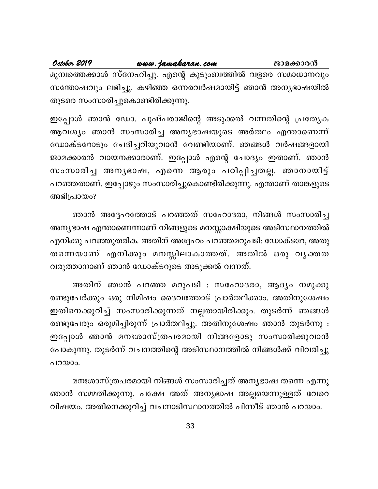October 2019 <u>www.jamakaran.com</u> ജാമക്കാരൻ മുമ്പത്തെക്കാൾ സ്നേഹിച്ചു. എന്റെ കുടുംബത്തിൽ വളരെ സമാധാനവും സന്തോഷവും ലഭിച്ചു. കഴിഞ്ഞ ഒന്നരവർഷമായിട്ട് ഞാൻ അന്യഭാഷയിൽ തുടരെ സംസാരിച്ചുകൊണ്ടിരിക്കുന്നു.

ഇപ്പോൾ ഞാൻ ഡോ. പുഷ്പരാജിന്റെ അടുക്കൽ വന്നതിന്റെ പ്രത്യേക ആവശ്യം ഞാൻ സംസാരിച്ച അന്യഭാഷയുടെ അർത്ഥം എന്താണെന്ന് ഡോക്ടറോടും ചേദിച്ചറിയുവാൻ വേണ്ടിയാണ്. ഞങ്ങൾ വർഷങ്ങളായി ജാമക്കാരൻ വായനക്കാരാണ്. ഇപ്പോൾ എന്റെ ചോദ്യം ഇതാണ്. ഞാൻ സംസാരിച്ച അന്യഭാഷ, എന്നെ ആരും പഠിപ്പിച്ചതല്ല. ഞാനായിട്ട് പറഞ്ഞതാണ്. ഇപ്പോഴും സംസാരിച്ചുകൊണ്ടിരിക്കുന്നു. എന്താണ് താങ്കളുടെ അഭിപ്രായം?

ഞാൻ അദ്ദേഹത്തോട് പറഞ്ഞത് സഹോദരാ, നിങ്ങൾ സംസാരിച്ച അന്യഭാഷ എന്താണെന്നാണ് നിങ്ങളുടെ മനസ്സാക്ഷിയുടെ അടിസ്ഥാനത്തിൽ എനിക്കു പറഞ്ഞുതരിക. അതിന് അദ്ദേഹം പറഞ്ഞമറുപടി: ഡോക്ടറേ, അതു തന്നെയാണ് എനിക്കും മനസ്സിലാകാത്തത്. അതിൽ ഒരു വൃക്തത വരുത്താനാണ് ഞാൻ ഡോക്ടറുടെ അടുക്കൽ വന്നത്.

അതിന് ഞാൻ പറഞ്ഞ മറുപടി : സഹോദരാ, ആദ്യം നമുക്കു രണ്ടുപേർക്കും ഒരു നിമിഷം ദൈവത്തോട് പ്രാർത്ഥിക്കാം. അതിനുശേഷം ഇതിനെക്കുറിച്ച് സംസാരിക്കുന്നത് നല്ലതായിരിക്കും. തുടർന്ന് ഞങ്ങൾ രണ്ടുപേരും ഒരുമിച്ചിരുന്ന് പ്രാർത്ഥിച്ചു. അതിനുശേഷം ഞാൻ തുടർന്നു : ഇപ്പോൾ ഞാൻ മനഃശാസ്ത്രപരമായി നിങ്ങളോടു സംസാരിക്കുവാൻ പോകുന്നു. തുടർന്ന് വചനത്തിന്റെ അടിസ്ഥാനത്തിൽ നിങ്ങൾക്ക് വിവരിച്ചു പറയാം.

മനഃശാസ്ത്രപരമായി നിങ്ങൾ സംസാരിച്ചത് അന്യഭാഷ തന്നെ എന്നു ഞാൻ സമ്മതിക്കുന്നു. പക്ഷേ അത് അന്യഭാഷ അല്ലയെന്നുള്ളത് വേറെ വിഷയം. അതിനെക്കുറിച്ച് വചനാടിസ്ഥാനത്തിൽ പിന്നീട് ഞാൻ പറയാം.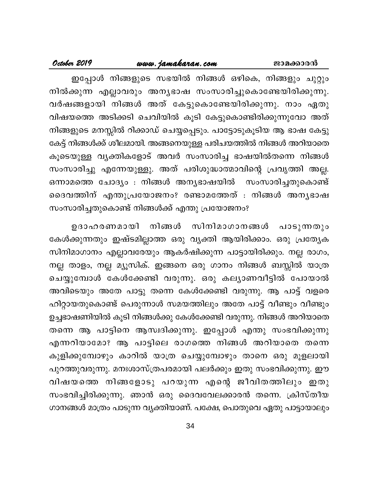### <u>www.jamakaran.com</u>

#### October 2019

ഇപ്പോൾ നിങ്ങളുടെ സഭയിൽ നിങ്ങൾ ഒഴികെ, നിങ്ങളും ചുറ്റും നിൽക്കുന്ന എല്ലാവരും അന്യഭാഷ സംസാരിച്ചുകൊണ്ടേയിരിക്കുന്നു. വർഷങ്ങളായി നിങ്ങൾ അത് കേട്ടുകൊണ്ടേയിരിക്കുന്നു. നാം ഏതു വിഷയത്തെ അടിക്കടി ചെവിയിൽ കൂടി കേട്ടുകൊണ്ടിരിക്കുന്നുവോ അത് നിങ്ങളുടെ മനസ്സിൽ റിക്കാഡ് ചെയ്യപ്പെടും. പാട്ടോടുകൂടിയ ആ ഭാഷ കേട്ടു കേട്ട് നിങ്ങൾക്ക് ശീലമായി. അങ്ങനെയുള്ള പരിചയത്തിൽ നിങ്ങൾ അറിയാതെ കൂടെയുള്ള വ്യക്തികളോട് അവർ സംസാരിച്ച ഭാഷയിൽതന്നെ നിങ്ങൾ സംസാരിച്ചു എന്നേയുള്ളു. അത് പരിശുദ്ധാത്മാവിന്റെ പ്രവൃത്തി അല്ല. ഒന്നാമത്തെ ചോദ്യം : നിങ്ങൾ അന്യഭാഷയിൽ സംസാരിച്ചതുകൊണ്ട് ദൈവത്തിന് എന്തുപ്രയോജനം? രണ്ടാമത്തേത് : നിങ്ങൾ അനൃഭാഷ സംസാരിച്ചതുകൊണ്ട് നിങ്ങൾക്ക് എന്തു പ്രയോജനം?

സിനിമാഗാനങ്ങൾ പാടുന്നതും നിങ്ങൾ ഉദാഹരണമായി കേൾക്കുന്നതും ഇഷ്ടമില്ലാത്ത ഒരു വ്യക്തി ആയിരിക്കാം. ഒരു പ്രത്യേക സിനിമാഗാനം എല്ലാവരേയും ആകർഷിക്കുന്ന പാട്ടായിരിക്കും. നല്ല രാഗം, നല്ല താളം, നല്ല മ്യൂസിക്. ഇങ്ങനെ ഒരു ഗാനം നിങ്ങൾ ബസ്സിൽ യാത്ര ചെയ്യുമ്പോൾ കേൾക്കേണ്ടി വരുന്നു. ഒരു കല്യാണവീട്ടിൽ പോയാൽ അവിടെയും അതേ പാട്ടു തന്നെ കേൾക്കേണ്ടി വരുന്നു. ആ പാട്ട് വളരെ ഹിറ്റായതുകൊണ്ട് പെരുന്നാൾ സമയത്തിലും അതേ പാട്ട് വീണ്ടും വീണ്ടും ഉച്ചഭാഷണിയിൽ കൂടി നിങ്ങൾക്കു കേൾക്കേണ്ടി വരുന്നു. നിങ്ങൾ അറിയാതെ തന്നെ ആ പാട്ടിനെ ആസ്വദിക്കുന്നു. ഇപ്പോൾ എന്തു സംഭവിക്കുന്നു എന്നറിയാമോ? ആ പാട്ടിലെ രാഗത്തെ നിങ്ങൾ അറിയാതെ തന്നെ കുളിക്കുമ്പോഴും കാറിൽ യാത്ര ചെയ്യുമ്പോഴും താനെ ഒരു മൂളലായി പുറത്തുവരുന്നു. മനഃശാസ്ത്രപരമായി പലർക്കും ഇതു സംഭവിക്കുന്നു. ഈ വിഷയത്തെ നിങ്ങളോടു പറയുന്ന എന്റെ ജീവിതത്തിലും ഇതു സംഭവിച്ചിരിക്കുന്നു. ഞാൻ ഒരു ദൈവവേലക്കാരൻ തന്നെ. ക്രിസ്തീയ ഗാനങ്ങൾ മാത്രം പാടുന്ന വൃക്തിയാണ്. പക്ഷേ, പൊതുവെ ഏതു പാട്ടായാലും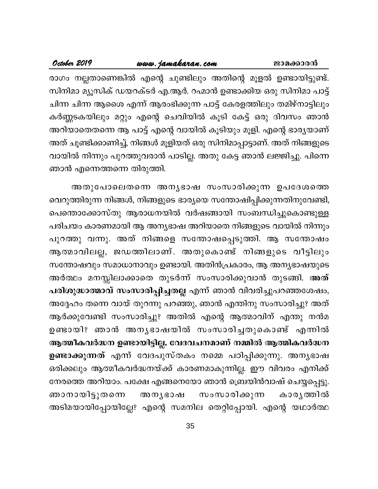### October 2019 <u>www.jamaka</u>ran.com ജാമക്കാരൻ രാഗം നല്ലതാണെങ്കിൽ എന്റെ ചുണ്ടിലും അതിന്റെ മൂളൽ ഉണ്ടായിട്ടുണ്ട്. സിനിമാ മ്യൂസിക് ഡയറക്ടർ എ.ആർ. റഹ്മാൻ ഉണ്ടാക്കിയ ഒരു സിനിമാ പാട്ട് ചിന്ന ചിന്ന ആശൈ എന്ന് ആരംഭിക്കുന്ന പാട്ട് കേരളത്തിലും തമിഴ്നാട്ടിലും കർണ്ണടകയിലും മറ്റും എന്റെ ചെവിയിൽ കൂടി കേട്ട് ഒരു ദിവസം ഞാൻ അറിയാതെതന്നെ ആ പാട്ട് എന്റെ വായിൽ കൂടിയും മൂളി. എന്റെ ഭാര്യയാണ് അത് ചൂണ്ടിക്കാണിച്ച്, നിങ്ങൾ മൂളിയത് ഒരു സിനിമാപ്പാട്ടാണ്. അത് നിങ്ങളുടെ വായിൽ നിന്നും പുറത്തുവരാൻ പാടില്ല. അതു കേട്ട ഞാൻ ലജ്ജിച്ചു. പിന്നെ ഞാൻ എന്നെത്തന്നെ തിരുത്തി.

അതുപോലെതന്നെ അനൃഭാഷ സംസാരിക്കുന്ന ഉപദേശത്തെ വെറുത്തിരുന്ന നിങ്ങൾ, നിങ്ങളുടെ ഭാര്യയെ സന്തോഷിപ്പിക്കുന്നതിനുവേണ്ടി, പെന്തൊക്കോസ്തു ആരാധനയിൽ വർഷങ്ങായി സംബന്ധിച്ചുകൊണ്ടുള്ള പരിചയം കാരണമായി ആ അന്യഭാഷ അറിയാതെ നിങ്ങളുടെ വായിൽ നിന്നും പുറത്തു വന്നു. അത് നിങ്ങളെ സന്തോഷപ്പെടുത്തി. ആ സന്തോഷം ആത്മാവിലല്ല, ജഡത്തിലാണ്. അതുകൊണ്ട് നിങ്ങളുടെ വീട്ടിലും സന്തോഷവും സമാധാനാവും ഉണ്ടായി. അതിൻപ്രകാരം, ആ അന്യഭാഷയുടെ അർത്ഥം മനസ്സിലാക്കാതെ തുടർന്ന് സംസാരിക്കുവാൻ തുടങ്ങി. അത് പരിശുദ്ധാത്മാവ് സംസാരിപ്പിച്ചതല്ല എന്ന് ഞാൻ വിവരിച്ചുപറഞ്ഞശേഷം, അദ്ദേഹം തന്നെ വായ് തുറന്നു പറഞ്ഞു, ഞാൻ എന്തിനു സംസാരിച്ചു? അത് ആർക്കുവേണ്ടി സംസാരിച്ചു? അതിൽ എന്റെ ആത്മാവിന് എന്തു നൻമ ഉണ്ടായി? ഞാൻ അനൃഭാഷയിൽ സംസാരിച്ചതുകൊണ്ട് എന്നിൽ ആത്മീകവർദ്ധന ഉണ്ടായിട്ടില്ല. വേദവചനമാണ് നമ്മിൽ ആത്മികവർദ്ധന **ഉണ്ടാക്കുന്നത്** എന്ന് വേദപുസ്തകം നമ്മെ പഠിപ്പിക്കുന്നു. അനൃഭാഷ ഒരിക്കലും ആത്മീകവർദ്ധനയ്ക്ക് കാരണമാകുന്നില്ല. ഈ വിവരം എനിക്ക് നേരത്തെ അറിയാം. പക്ഷേ എങ്ങനെയോ ഞാൻ ബ്രെയിൻവാഷ് ചെയ്യപ്പെട്ടു. ഞാനായിട്ടുതന്നെ സംസാരിക്കുന്ന അനൃഭാഷ കാരൃത്തിൽ അടിമയായിപ്പോയില്ലേ? എന്റെ സമനില തെറ്റിപ്പോയി. എന്റെ യഥാർത്ഥ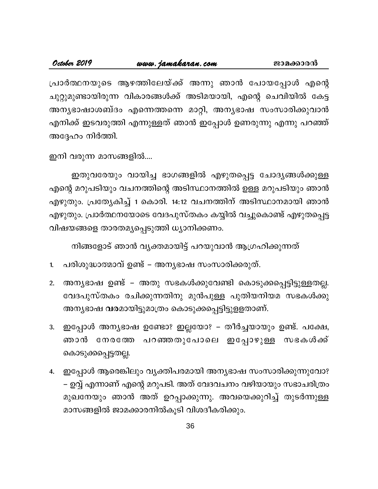പ്രാർത്ഥനയുടെ ആഴത്തിലേയ്ക്ക് അന്നു ഞാൻ പോയപ്പോൾ എന്റെ ചുറ്റുമുണ്ടായിരുന്ന വികാരങ്ങൾക്ക് അടിമയായി, എന്റെ ചെവിയിൽ കേട്ട അനൃഭാഷാശബ്ദം എന്നെത്തന്നെ മാറ്റി, അനൃഭാഷ സംസാരിക്കുവാൻ എനിക്ക് ഇടവരുത്തി എന്നുള്ളത് ഞാൻ ഇപ്പോൾ ഉണരുന്നു എന്നു പറഞ്ഞ് അദ്ദേഹം നിർത്തി.

ഇനി വരുന്ന മാസങ്ങളിൽ....

ഇതുവരേയും വായിച്ച ഭാഗങ്ങളിൽ എഴുതപ്പെട്ട ചോദ്യങ്ങൾക്കുള്ള എന്റെ മറുപടിയും വചനത്തിന്റെ അടിസ്ഥാനത്തിൽ ഉള്ള മറുപടിയും ഞാൻ എഴുതും. പ്രത്യേകിച്ച് 1 കൊരി. 14:12 വചനത്തിന് അടിസ്ഥാനമായി ഞാൻ എഴുതും. പ്രാർത്ഥനയോടെ വേദപുസ്തകം കയ്യിൽ വച്ചുകൊണ്ട് എഴുതപ്പെട്ട വിഷയങ്ങളെ താരതമൃപ്പെടുത്തി ധ്യാനിക്കണം.

നിങ്ങളോട് ഞാൻ വൃക്തമായിട്ട് പറയുവാൻ ആഗ്രഹിക്കുന്നത്

- പരിശുദ്ധാത്മാവ് ഉണ്ട് അന്യഭാഷ സംസാരിക്കരുത്. 1.
- അന്യഭാഷ ഉണ്ട് അതു സഭകൾക്കുവേണ്ടി കൊടുക്കപ്പെട്ടിട്ടുള്ളതല്ല.  $2.$ വേദപുസ്തകം രചിക്കുന്നതിനു മുൻപുള്ള പുതിയനിയമ സഭകൾക്കു അന്യഭാഷ വരമായിട്ടുമാത്രം കൊടുക്കപ്പെട്ടിട്ടുളളതാണ്.
- ഇപ്പോൾ അന്യഭാഷ ഉണ്ടോ? ഇല്ലയോ? തീർച്ചയായും ഉണ്ട്. പക്ഷേ, 3. നേരത്തേ പറഞ്ഞതുപോലെ ഇപ്പോഴുള്ള സഭകൾക്ക് ഞാൻ കൊടുക്കപ്പെട്ടതല്ല.
- 4. ഇപ്പോൾ ആരെങ്കിലും വ്യക്തിപരമായി അന്യഭാഷ സംസാരിക്കുന്നുവോ? – ഉവ്വ് എന്നാണ് എന്റെ മറുപടി. അത് വേദവചനം വഴിയായും സഭാചരിത്രം മുഖനേയും ഞാൻ അത് ഉറപ്പാക്കുന്നു. അവയെക്കുറിച്ച് തുടർന്നുള്ള മാസങ്ങളിൽ ജാമക്കാരനിൽകൂടി വിശദീകരിക്കും.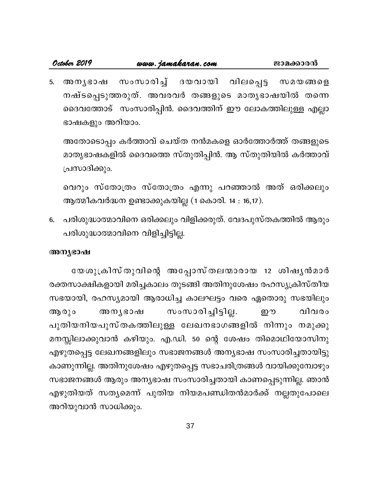സംസാരിച്ച് ദയവായി വിലപ്പെട്ട അനൃഭാഷ 5.  $\omega$  2  $\omega$  633 6  $\beta$ നഷ്ടപ്പെടുത്തരുത്. അവരവർ തങ്ങളുടെ മാതൃഭാഷയിൽ തന്നെ ദൈവത്തോട് സംസാരിപ്പിൻ. ദൈവത്തിന് ഈ ലോകത്തിലുള്ള എല്ലാ ഭാഷകളും അറിയാം.

അതോടൊപ്പം കർത്താവ് ചെയ്ത നൻമകളെ ഓർത്തോർത്ത് തങ്ങളുടെ മാതൃഭാഷകളിൽ ദൈവത്തെ സ്തുതിപ്പിൻ. ആ സ്തുതിയിൽ കർത്താവ് പ്രസാദിക്കും.

വെറും സ്തോത്രം സ്തോത്രം എന്നു പറഞ്ഞാൽ അത് ഒരിക്കലും ആത്മീകവർദ്ധന ഉണ്ടാക്കുകയില്ല (1 കൊരി. 14 : 16,17).

പരിശുദ്ധാത്മാവിനെ ഒരിക്കലും വിളിക്കരുത്. വേദപുസ്തകത്തിൽ ആരും 6. പരിശുദ്ധാത്മാവിനെ വിളിച്ചിട്ടില്ല.

#### അന്യഭാഷ

യേശുക്രിസ്തുവിന്റെ അപ്പോസ്തലന്മാരായ 12 ശിഷ്യൻമാർ രക്തസാക്ഷികളായി മരിച്ചകാലം തുടങ്ങി അതിനുശേഷം രഹസ്യക്രിസ്തീയ സഭയായി, രഹസ്യമായി ആരാധിച്ച കാലഘട്ടം വരെ ഏതൊരു സഭയിലും സംസാരിച്ചിട്ടില്ല. വിവരം ആരും അനൃഭാഷ ஹு പുതിയനിയപുസ്തകത്തിലുള്ള ലേഖനഭാഗങ്ങളിൽ നിന്നും നമുക്കു മനസ്സിലാക്കുവാൻ കഴിയും. എ.ഡി. 50 ന്റെ ശേഷം തിമൊഥിയോസിനു എഴുതപ്പെട്ട ലേഖനങ്ങളിലും സഭാജനങ്ങൾ അന്യഭാഷ സംസാരിച്ചതായിട്ടു കാണുന്നില്ല. അതിനുശേഷം എഴുതപ്പെട്ട സഭാചരിത്രങ്ങൾ വായിക്കുമ്പോഴും സഭാജനങ്ങൾ ആരും അന്യഭാഷ സംസാരിച്ചതായി കാണപ്പെടുന്നില്ല. ഞാൻ എഴുതിയത് സതൃമെന്ന് പുതിയ നിയമപണ്ഡിതൻമാർക്ക് നല്ലതുപോലെ അറിയുവാൻ സാധിക്കും.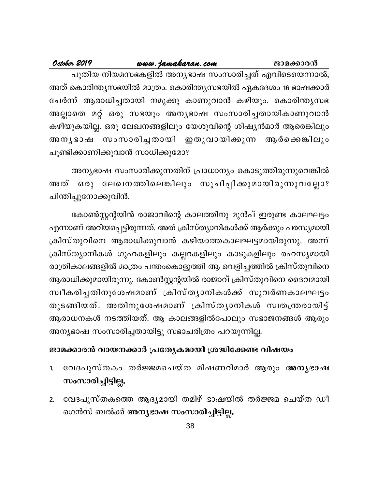www.jamakaran.com October 2019 ജാമക്കാരൻ പുതിയ നിയമസഭകളിൽ അന്യഭാഷ സംസാരിച്ചത് എവിടെയെന്നാൽ, അത് കൊരിന്ത്യസഭയിൽ മാത്രം. കൊരിന്ത്യസഭയിൽ ഏകദേശം 16 ഭാഷക്കാർ ചേർന്ന് ആരാധിച്ചതായി നമുക്കു കാണുവാൻ കഴിയും. കൊരിന്ത്യസഭ അല്ലാതെ മറ്റ് ഒരു സഭയും അന്യഭാഷ സംസാരിച്ചതായികാണുവാൻ കഴിയുകയില്ല. ഒരു ലേഖനങ്ങളിലും യേശുവിന്റെ ശിഷ്യൻമാർ ആരെങ്കിലും അനൃഭാഷ സംസാരിച്ചതായി ഇതുവായിക്കുന്ന ആർക്കെങ്കിലും ചൂണ്ടിക്കാണിക്കുവാൻ സാധിക്കുമോ?

അന്യഭാഷ സംസാരിക്കുന്നതിന് പ്രാധാന്യം കൊടുത്തിരുന്നുവെങ്കിൽ അത് ഒരു ലേഖനത്തിലെങ്കിലും സൂചിപ്പിക്കുമായിരുന്നുവല്ലോ? ചിന്തിച്ചുനോക്കുവിൻ.

കോൺസ്റ്റന്റയിൻ രാജാവിന്റെ കാലത്തിനു മുൻപ് ഇരുണ്ട കാലഘട്ടം എന്നാണ് അറിയപ്പെട്ടിരുന്നത്. അത് ക്രിസ്ത്യാനികൾക്ക് ആർക്കും പരസ്യമായി ക്രിസ്തുവിനെ ആരാധിക്കുവാൻ കഴിയാത്തകാലഘട്ടമായിരുന്നു. അന്ന് ക്രിസ്ത്യാനികൾ ഗുഹകളിലും കല്ലറകളിലും കാടുകളിലും രഹസ്യമായി രാത്രികാലങ്ങളിൽ മാത്രം പന്തംകൊളുത്തി ആ വെളിച്ചത്തിൽ ക്രിസ്തുവിനെ ആരാധിക്കുമായിരുന്നു. കോൺസ്റ്റന്റയിൽ രാജാവ് ക്രിസ്തുവിനെ ദൈവമായി സ്വീകരിച്ചതിനുശേഷമാണ് ക്രിസ്ത്യാനികൾക്ക് സുവർണകാലഘട്ടം തുടങ്ങിയത്. അതിനുശേഷമാണ് ക്രിസ്ത്യാനികൾ സ്വതന്ത്രരായിട്ട് ആരാധനകൾ നടത്തിയത്. ആ കാലങ്ങളിൽപോലും സഭാജനങ്ങൾ ആരും അന്യഭാഷ സംസാരിച്ചതായിട്ടു സഭാചരിത്രം പറയുന്നില്ല.

### ജാമക്കാരൻ വായനക്കാർ പ്രത്യേകമായി ശ്രദ്ധിക്കേണ്ട വിഷയം

- വേദപുസ്തകം തർജ്ജമചെയ്ത മിഷണറിമാർ ആരും അനൃഭാഷ  $\mathbf{1}$ സംസാരിച്ചിട്ടില്ല.
- വേദപുസ്തകത്തെ ആദ്യമായി തമിഴ് ഭാഷയിൽ തർജ്ജമ ചെയ്ത ഡീ  $2.$ ഗെൻസ് ബൽക്ക് അനൃഭാഷ സംസാരിച്ചിട്ടില്ല.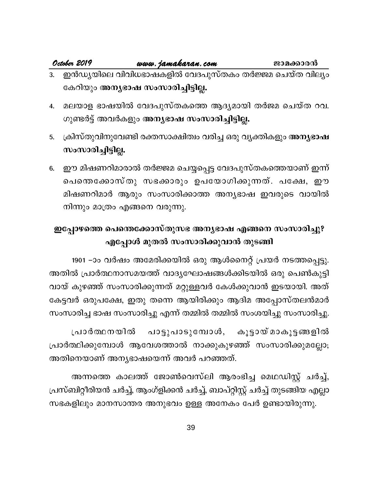### <u>www.jamakaran.com</u>

October 2019

- ഇൻഡ്യയിലെ വിവിധഭാഷകളിൽ വേദപുസ്തകം തർജ്ജമ ചെയ്ത വില്യം കേറിയും അനൃഭാഷ സംസാരിച്ചിട്ടില്ല.
- മലയാള ഭാഷയിൽ വേദപുസ്തകത്തെ ആദ്യമായി തർജമ ചെയ്ത റവ. 4. ഗുണ്ടർട്ട് അവർകളും അന്യഭാഷ സംസാരിച്ചിട്ടില്ല.
- ക്രിസ്തുവിനുവേണ്ടി രക്തസാക്ഷിത്വം വരിച്ച ഒരു വ്യക്തികളും അനൃഭാഷ 5. സംസാരിച്ചിട്ടില്ല.
- ഈ മിഷണറിമാരാൽ തർജ്ജമ ചെയ്യപ്പെട്ട വേദപുസ്തകത്തെയാണ് ഇന്ന് 6. പെന്തെക്കോസ്തു സഭക്കാരും ഉപയോഗിക്കുന്നത്. പക്ഷേ, ഈ മിഷണറിമാർ ആരും സംസാരിക്കാത്ത അന്യഭാഷ ഇവരുടെ വായിൽ നിന്നും മാത്രം എങ്ങനെ വരുന്നു.

### ഇപ്പോഴത്തെ പെന്തെക്കോസ്തുസഭ അന്യഭാഷ എങ്ങനെ സംസാരിച്ചു? എപ്പോൾ മുതൽ സംസാരിക്കുവാൻ തുടങ്ങി

1901 –ാം വർഷം അമേരിക്കയിൽ ഒരു ആൾനൈറ്റ് പ്രയർ നടത്തപ്പെട്ടു. അതിൽ പ്രാർത്ഥനാസമയത്ത് വാദ്യഘോഷങ്ങൾക്കിടയിൽ ഒരു പെൺകുട്ടി വായ് കുഴഞ്ഞ് സംസാരിക്കുന്നത് മറ്റുള്ളവർ കേൾക്കുവാൻ ഇടയായി. അത് കേട്ടവർ ഒരുപക്ഷേ, ഇതു തന്നെ ആയിരിക്കും ആദിമ അപ്പോസ്തലൻമാർ സംസാരിച്ച ഭാഷ സംസാരിച്ചു എന്ന് തമ്മിൽ തമ്മിൽ സംശയിച്ചു സംസാരിച്ചു.

പ്രാർത്ഥനയിൽ പാട്ടുപാടുമ്പോൾ, കൂട്ടായ് മാകൂട്ടങ്ങളിൽ പ്രാർത്ഥിക്കുമ്പോൾ ആവേശത്താൽ നാക്കുകുഴഞ്ഞ് സംസാരിക്കുമല്ലോ; അതിനെയാണ് അനൃഭാഷയെന്ന് അവർ പറഞ്ഞത്.

അന്നത്തെ കാലത്ത് ജോൺവെസ്ലി ആരംഭിച്ച മെഥഡിസ്റ്റ് ചർച്ച്, പ്രസ്ബിറ്റീരിയൻ ചർച്ച്, ആംഗ്ളിക്കൻ ചർച്ച്, ബാപ്റ്റിസ്റ്റ് ചർച്ച് തുടങ്ങിയ എല്ലാ സഭകളിലും മാനസാന്തര അനുഭവം ഉള്ള അനേകം പേർ ഉണ്ടായിരുന്നു.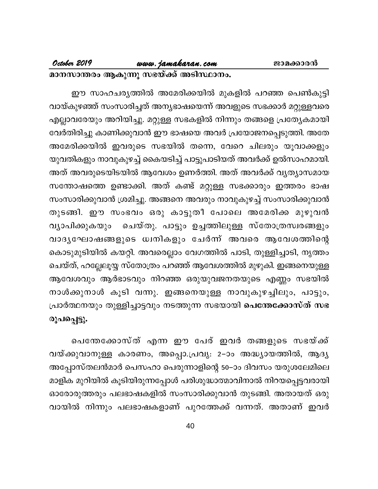### www.jamakaran.com

#### October 2019

#### മാനസാന്തരം ആകുന്നു സഭയ്ക്ക് അടിസ്ഥാനം.

ഈ സാഹചര്യത്തിൽ അമേരിക്കയിൽ മുകളിൽ പറഞ്ഞ പെൺകുട്ടി വായ്കുഴഞ്ഞ് സംസാരിച്ചത് അന്യഭാഷയെന്ന് അവളുടെ സഭക്കാർ മറ്റുള്ളവരെ എല്ലാവരേയും അറിയിച്ചു. മറ്റുള്ള സഭകളിൽ നിന്നും തങ്ങളെ പ്രത്യേകമായി വേർതിരിച്ചു കാണിക്കുവാൻ ഈ ഭാഷയെ അവർ പ്രയോജനപ്പെടുത്തി. അതേ അമേരിക്കയിൽ ഇവരുടെ സഭയിൽ തന്നെ, വേറെ ചിലരും യൂവാക്കളും യുവതികളും നാവുകുഴച്ച് കൈയടിച്ച് പാട്ടുപാടിയത് അവർക്ക് ഉൽസാഹമായി. അത് അവരുടെയിടയിൽ ആവേശം ഉണർത്തി. അത് അവർക്ക് വൃത്യാസമായ സന്തോഷത്തെ ഉണ്ടാക്കി. അത് കണ്ട് മറ്റുള്ള സഭക്കാരും ഇത്തരം ഭാഷ സംസാരിക്കുവാൻ ശ്രമിച്ചു. അങ്ങനെ അവരും നാവുകുഴച്ച് സംസാരിക്കുവാൻ തുടങ്ങി. ഈ സംഭവം ഒരു കാട്ടുതീ പോലെ അമേരിക്ക മുഴുവൻ ചെയ്തു. പാട്ടും ഉച്ചത്തിലുള്ള സ്തോത്രസ്വരങ്ങളും വ്യാപിക്കുകയും വാദൃഘോഷങ്ങളുടെ ധ്വനികളും ചേർന്ന് അവരെ ആവേശത്തിന്റെ കൊടുമുടിയിൽ കയറ്റി. അവരെല്ലാം വേഗത്തിൽ പാടി, തുള്ളിച്ചാടി, നൃത്തം ചെയ്ത്, ഹല്ലേലൂയ്യ സ്തോത്രം പറഞ്ഞ് ആവേശത്തിൽ മുഴുകി. ഇങ്ങനെയുള്ള ആവേശവും ആർഭാടവും നിറഞ്ഞ ഒരുയുവജനതയുടെ എണ്ണം സഭയിൽ നാൾക്കുനാൾ കൂടി വന്നു. ഇങ്ങനെയുള്ള നാവുകുഴച്ചിലും, പാട്ടും, പ്രാർത്ഥനയും തുള്ളിച്ചാട്ടവും നടത്തുന്ന സഭയായി പെന്തേക്കോസ്ത് സഭ രൂപപ്പെട്ടു.

പെന്തേക്കോസ്ത് എന്ന ഈ പേര് ഇവർ തങ്ങളുടെ സഭയ്ക്ക് വയ്ക്കുവാനുള്ള കാരണം, അപ്പൊ.പ്രവൃ. 2–ാം അദ്ധ്യായത്തിൽ, ആദ്യ അപ്പോസ്തലൻമാർ പെസഹാ പെരുന്നാളിന്റെ 50–ാം ദിവസം യരുശലേമിലെ മാളിക മുറിയിൽ കൂടിയിരുന്നപ്പോൾ പരിശുദ്ധാത്മാവിനാൽ നിറയപ്പെട്ടവരായി ഓരോരുത്തരും പലഭാഷകളിൽ സംസാരിക്കുവാൻ തുടങ്ങി. അതായത് ഒരു വായിൽ നിന്നും പലഭാഷകളാണ് പുറത്തേക്ക് വന്നത്. അതാണ് ഇവർ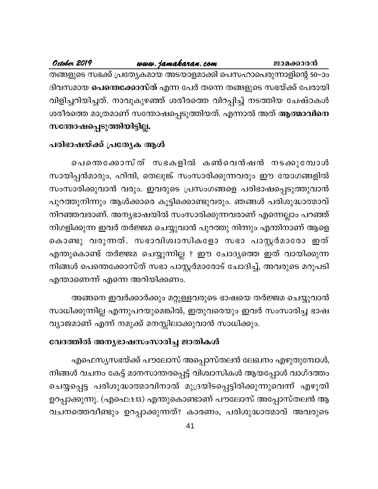### <u>www.jamaka</u>ran.com

October 2019

തങ്ങളുടെ സഭക്ക് പ്രത്യേകമായ അടയാളമാക്കി പെസഹാപെരുന്നാളിന്റെ 50–ാം ദിവസമായ **പെന്തെക്കോസ്ത്** എന്ന പേർ തന്നെ തങ്ങളുടെ സഭയ്ക്ക് പേരായി വിളിച്ചറിയിച്ചത്. നാവുകുഴഞ്ഞ് ശരീരത്തെ വിറപ്പിച്ച് നടത്തിയ ചേഷ്ഠകൾ ശരീരത്തെ മാത്രമാണ് സന്തോഷപ്പെടുത്തിയത്. എന്നാൽ അത് ആത്മാവിനെ സന്തോഷപ്പെടുത്തിയിട്ടില്ല.

### പരിഭാഷയ്ക്ക് പ്രത്യേക ആൾ

പെന്തെക്കോസ്ത് സഭകളിൽ കൺവെൻഷൻ നടക്കുമ്പോൾ സായിപ്പൻമാരും, ഹിന്ദി, തെലുങ്ക് സംസാരിക്കുന്നവരും ഈ യോഗങ്ങളിൽ സംസാരിക്കുവാൻ വരും. ഇവരുടെ പ്രസംഗങ്ങളെ പരിഭാഷപ്പെടുത്തുവാൻ പുറത്തുനിന്നും ആൾക്കാരെ കൂട്ടിക്കൊണ്ടുവരും. ഞങ്ങൾ പരിശുദ്ധാത്മാവ് നിറഞ്ഞവരാണ്. അന്യഭാഷയിൽ സംസാരിക്കുന്നവരാണ് എന്നെല്ലാം പറഞ്ഞ് നിഗളിക്കുന്ന ഇവർ തർജ്ജമ ചെയ്യുവാൻ പുറത്തു നിന്നും എന്തിനാണ് ആളെ കൊണ്ടു വരുന്നത്. സഭാവിശ്വാസികളോ സഭാ പാസ്റ്റർമാരോ ഇത് എന്തുകൊണ്ട് തർജ്ജമ ചെയ്യുന്നില്ല ? ഈ ചോദ്യത്തെ ഇത് വായിക്കുന്ന നിങ്ങൾ പെന്തെക്കോസ്ത് സഭാ പാസ്റ്റർമാരോട് ചോദിച്ച്, അവരുടെ മറുപടി എന്താണെന്ന് എന്നെ അറിയിക്കണം.

അങ്ങനെ ഇവർക്കാർക്കും മറ്റുള്ളവരുടെ ഭാഷയെ തർജ്ജമ ചെയ്യുവാൻ സാധിക്കുന്നില്ല എന്നുപറയുമെങ്കിൽ, ഇതുവരെയും ഇവർ സംസാരിച്ച ഭാഷ വ്യാജമാണ് എന്ന് നമുക്ക് മനസ്സിലാക്കുവാൻ സാധിക്കും.

### വേദത്തിൽ അന്യഭാഷസംസാരിച്ച ജാതികൾ

എഫെസ്യസഭയ്ക്ക് പൗലോസ് അപ്പൊസ്തലൻ ലേഖനം എഴുതുമ്പോൾ, നിങ്ങൾ വചനം കേട്ട് മാനസാന്തരപ്പെട്ട് വിശ്വാസികൾ ആയപ്പോൾ വാഗ്ദത്തം ചെയ്യപ്പെട്ട പരിശുദ്ധാത്മാവിനാൽ മുദ്രയിടപ്പെട്ടിരിക്കുന്നുവെന്ന് എഴുതി ഉറപ്പാക്കുന്നു. (എഫെ:1:13) എന്തുകൊണ്ടാണ് പൗലോസ് അപ്പോസ്തലൻ ആ വചനത്തെവീണ്ടും ഉറപ്പാക്കുന്നത്? കാരണം, പരിശുദ്ധാത്മാവ് അവരുടെ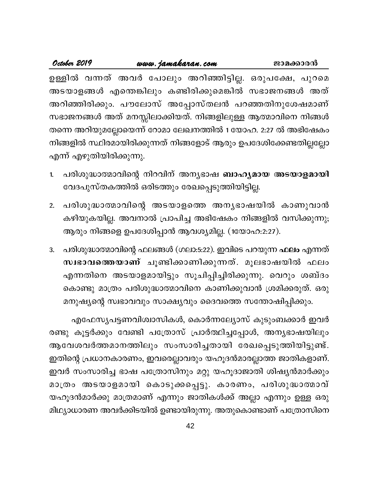| October 2019             | www.jamakaran.com | ജാമക്കാരൻ                                                           |
|--------------------------|-------------------|---------------------------------------------------------------------|
|                          |                   | ഉള്ളിൽ വന്നത് അവർ പോലും അറിഞ്ഞിട്ടില്ല. ഒരുപക്ഷേ, പുറമെ             |
|                          |                   | അടയാളങ്ങൾ എന്തെങ്കിലും കണ്ടിരിക്കുമെങ്കിൽ സഭാജനങ്ങൾ അത്             |
|                          |                   | അറിഞ്ഞിരിക്കും. പൗലോസ് അപ്പോസ്തലൻ പറഞ്ഞതിനുശേഷമാണ്                  |
|                          |                   | സഭാജനങ്ങൾ അത് മനസ്സിലാക്കിയത്. നിങ്ങളിലുള്ള ആത്മാവിനെ നിങ്ങൾ        |
|                          |                   | തന്നെ അറിയുമല്ലോയെന്ന് റോമാ ലേഖനത്തിൽ 1 യോഹ. 2:27 ൽ അഭിഷേകം         |
|                          |                   | നിങ്ങളിൽ സ്ഥിരമായിരിക്കുന്നത് നിങ്ങളോട് ആരും ഉപദേശിക്കേണ്ടതില്ലല്ലോ |
| എന്ന് എഴുതിയിരിക്കുന്നു. |                   |                                                                     |

- പരിശുദ്ധാത്മാവിന്റെ നിറവിന് അന്യഭാഷ **ബാഹ്യമായ അടയാളമായി** 1. വേദപുസ്തകത്തിൽ ഒരിടത്തും രേഖപ്പെടുത്തിയിട്ടില്ല.
- പരിശുദ്ധാത്മാവിന്റെ അടയാളത്തെ അന്യഭാഷയിൽ കാണുവാൻ  $2.$ കഴിയുകയില്ല. അവനാൽ പ്രാപിച്ച അഭിഷേകം നിങ്ങളിൽ വസിക്കുന്നു; ആരും നിങ്ങളെ ഉപദേശിപ്പാൻ ആവശ്യമില്ല. (1യോഹ:2:27).
- പരിശുദ്ധാത്മാവിന്റെ ഫലങ്ങൾ (ഗലാ:5:22). ഇവിടെ പറയുന്ന ഫലം എന്നത് 3. സ്വഭാവത്തെയാണ് ചൂണ്ടിക്കാണിക്കുന്നത്. മൂലഭാഷയിൽ ഫലം എന്നതിനെ അടയാളമായിട്ടും സൂചിപ്പിച്ചിരിക്കുന്നു. വെറും ശബ്ദം കൊണ്ടു മാത്രം പരിശുദ്ധാത്മാവിനെ കാണിക്കുവാൻ ശ്രമിക്കരുത്. ഒരു മനുഷ്യന്റെ സ്വഭാവവും സാക്ഷ്യവും ദൈവത്തെ സന്തോഷിപ്പിക്കും.

എഫേസൃപട്ടണവിശ്വാസികൾ, കൊർന്നല്യോസ് കുടുംബക്കാർ ഇവർ രണ്ടു കൂട്ടർക്കും വേണ്ടി പത്രോസ് പ്രാർത്ഥിച്ചപ്പോൾ, അന്യഭാഷയിലും ആവേശവർത്തമാനത്തിലും സംസാരിച്ചതായി രേഖപ്പെടുത്തിയിട്ടുണ്ട്. ഇതിന്റെ പ്രധാനകാരണം, ഇവരെല്ലാവരും യഹൂദൻമാരല്ലാത്ത ജാതികളാണ്. ഇവർ സംസാരിച്ച ഭാഷ പത്രോസിനും മറ്റു യഹൂദാജാതി ശിഷ്യൻമാർക്കും മാത്രം അടയാളമായി കൊടുക്കപ്പെട്ടു. കാരണം, പരിശുദ്ധാത്മാവ് യഹൂദൻമാർക്കു മാത്രമാണ് എന്നും ജാതികൾക്ക് അല്ലാ എന്നും ഉള്ള ഒരു മിഥ്യാധാരണ അവർക്കിടയിൽ ഉണ്ടായിരുന്നു. അതുകൊണ്ടാണ് പത്രോസിനെ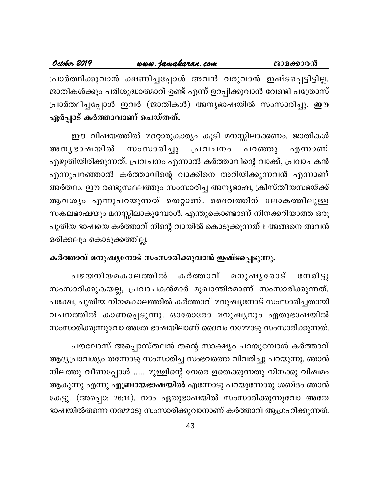| October 2019                 | www.jamakaran.com                                                    | ജാമക്കാരൻ |
|------------------------------|----------------------------------------------------------------------|-----------|
|                              | പ്രാർത്ഥിക്കുവാൻ ക്ഷണിച്ചപ്പോൾ അവൻ വരുവാൻ ഇഷ്ടപ്പെട്ടിട്ടില്ല.       |           |
|                              | ജാതികൾക്കും പരിശുദ്ധാത്മാവ് ഉണ്ട് എന്ന് ഉറപ്പിക്കുവാൻ വേണ്ടി പത്രോസ് |           |
|                              | പ്രാർത്ഥിച്ചപ്പോൾ ഇവർ (ജാതികൾ) അനൃഭാഷയിൽ സംസാരിച്ചു. <b>ഈ</b>        |           |
| ഏർപ്പാട് കർത്താവാണ് ചെയ്തത്. |                                                                      |           |

ഈ വിഷയത്തിൽ മറ്റൊരുകാര്യം കൂടി മനസ്സിലാക്കണം. ജാതികൾ അനൃഭാഷയിൽ സംസാരിച്ചു പ്രവചനം പറഞ്ഞു എന്നാണ് എഴുതിയിരിക്കുന്നത്. പ്രവചനം എന്നാൽ കർത്താവിന്റെ വാക്ക്, പ്രവാചകൻ എന്നുപറഞ്ഞാൽ കർത്താവിന്റെ വാക്കിനെ അറിയിക്കുന്നവൻ എന്നാണ് അർത്ഥം. ഈ രണ്ടുസ്ഥലത്തും സംസാരിച്ച അന്യഭാഷ, ക്രിസ്തീയസഭയ്ക്ക് ആവശ്യം എന്നുപറയുന്നത് തെറ്റാണ്. ദൈവത്തിന് ലോകത്തിലുള്ള സകലഭാഷയും മനസ്സിലാകുമ്പോൾ, എന്തുകൊണ്ടാണ് നിനക്കറിയാത്ത ഒരു പുതിയ ഭാഷയെ കർത്താവ് നിന്റെ വായിൽ കൊടുക്കുന്നത് ? അങ്ങനെ അവൻ ഒരിക്കലും കൊടുക്കത്തില്ല.

### കർത്താവ് മനുഷ്യനോട് സംസാരിക്കുവാൻ ഇഷ്ടപ്പെടുന്നു.

പഴയനിയമകാലത്തിൽ കർത്താവ്  $@mod52$ മനുഷൃരോട് സംസാരിക്കുകയല്ല, പ്രവാചകൻമാർ മുഖാന്തിരമാണ് സംസാരിക്കുന്നത്. പക്ഷേ, പുതിയ നിയമകാലത്തിൽ കർത്താവ് മനുഷ്യനോട് സംസാരിച്ചതായി വചനത്തിൽ കാണപ്പെടുന്നു. ഓരോരോ മനുഷ്യനും ഏതുഭാഷയിൽ സംസാരിക്കുന്നുവോ അതേ ഭാഷയിലാണ് ദൈവം നമ്മോടു സംസാരിക്കുന്നത്.

പൗലോസ് അപ്പൊസ്തലൻ തന്റെ സാക്ഷ്യം പറയുമ്പോൾ കർത്താവ് ആദ്യപ്രാവശ്യം തന്നോടു സംസാരിച്ച സംഭവത്തെ വിവരിച്ചു പറയുന്നു. ഞാൻ നിലത്തു വീണപ്പോൾ ...... മുള്ളിന്റെ നേരെ ഉതെക്കുന്നതു നിനക്കു വിഷമം ആകുന്നു എന്നു <mark>എബ്രായഭാഷയിൽ</mark> എന്നോടു പറയുന്നോരു ശബ്ദം ഞാൻ കേട്ടു. (അപ്പൊ: 26:14). നാം ഏതുഭാഷയിൽ സംസാരിക്കുന്നുവോ അതേ ഭാഷയിൽതന്നെ നമ്മോടു സംസാരിക്കുവാനാണ് കർത്താവ് ആഗ്രഹിക്കുന്നത്.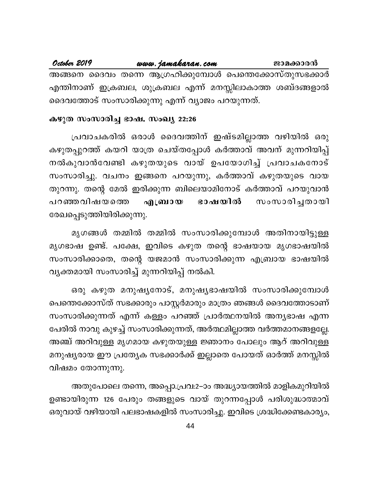#### October 2019 www.jamakaran.com ജാമക്കാരൻ അങ്ങനെ ദൈവം തന്നെ ആഗ്രഹിക്കുമ്പോൾ പെന്തെക്കോസ്തുസഭക്കാർ എന്തിനാണ് ഇക്രബല, ശുക്രബല എന്ന് മനസ്സിലാകാത്ത ശബ്ദങ്ങളാൽ ദൈവത്തോട് സംസാരിക്കുന്നു എന്ന് വ്യാജം പറയുന്നത്.

#### കഴുത സംസാരിച്ച ഭാഷ. സംഖ്യ 22:26

പ്രവാചകരിൽ ഒരാൾ ദൈവത്തിന് ഇഷ്ടമില്ലാത്ത വഴിയിൽ ഒരു കഴുതപ്പുറത്ത് കയറി യാത്ര ചെയ്തപ്പോൾ കർത്താവ് അവന് മുന്നറിയിപ്പ് നൽകുവാൻവേണ്ടി കഴുതയുടെ വായ് ഉപയോഗിച്ച് പ്രവാചകനോട് സംസാരിച്ചു. വചനം ഇങ്ങനെ പറയുന്നു, കർത്താവ് കഴുതയുടെ വായ തുറന്നു. തന്റെ മേൽ ഇരിക്കുന്ന ബിലെയാമിനോട് കർത്താവ് പറയുവാൻ ഭാഷയിൽ സംസാരിച്ചതായി പറഞ്ഞവിഷയത്തെ എബ്രായ രേഖപ്പെടുത്തിയിരിക്കുന്നു.

മൃഗങ്ങൾ തമ്മിൽ തമ്മിൽ സംസാരിക്കുമ്പോൾ അതിനായിട്ടുള്ള മൃഗഭാഷ ഉണ്ട്. പക്ഷേ, ഇവിടെ കഴുത തന്റെ ഭാഷയായ മൃഗഭാഷയിൽ സംസാരിക്കാതെ, തന്റെ യജമാൻ സംസാരിക്കുന്ന എബ്രായ ഭാഷയിൽ വ്യക്തമായി സംസാരിച്ച് മുന്നറിയിപ്പ് നൽകി.

ഒരു കഴുത മനുഷ്യനോട്, മനുഷ്യഭാഷയിൽ സംസാരിക്കുമ്പോൾ പെന്തെക്കോസ്ത് സഭക്കാരും പാസ്റ്റർമാരും മാത്രം ഞങ്ങൾ ദൈവത്തോടാണ് സംസാരിക്കുന്നത് എന്ന് കള്ളം പറഞ്ഞ് പ്രാർത്ഥനയിൽ അന്യഭാഷ എന്ന പേരിൽ നാവു കുഴച്ച് സംസാരിക്കുന്നത്, അർത്ഥമില്ലാത്ത വർത്തമാനങ്ങളല്ലേ. അഞ്ച് അറിവുള്ള മൃഗമായ കഴുതയുള്ള ജ്ഞാനം പോലും ആറ് അറിവുള്ള മനുഷ്യരായ ഈ പ്രത്യേക സഭക്കാർക്ക് ഇല്ലാതെ പോയത് ഓർത്ത് മനസ്സിൽ വിഷമം തോന്നുന്നു.

അതുപോലെ തന്നെ, അപ്പൊ.പ്രവ:2–ാം അദ്ധ്യായത്തിൽ മാളികമുറിയിൽ ഉണ്ടായിരുന്ന 126 പേരും തങ്ങളുടെ വായ് തുറന്നപ്പോൾ പരിശുദ്ധാത്മാവ് ഒരുവായ് വഴിയായി പലഭാഷകളിൽ സംസാരിച്ചു. ഇവിടെ ശ്രദ്ധിക്കേണ്ടകാര്യം,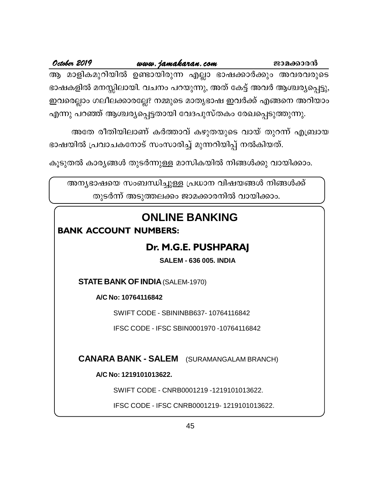ആ മാളികമുറിയിൽ ഉണ്ടായിരുന്ന എല്ലാ ഭാഷക്കാർക്കും അവരവരുടെ ഭാഷകളിൽ മനസ്സിലായി. വചനം പറയുന്നു, അത് കേട്ട് അവർ ആശ്ചര്യപ്പെട്ടു, ഇവരെല്ലാം ഗലീലക്കാരല്ലേ? നമ്മുടെ മാതൃഭാഷ ഇവർക്ക് എങ്ങനെ അറിയാം എന്നു പറഞ്ഞ് ആശ്ചര്യപ്പെട്ടതായി വേദപുസ്തകം രേഖപ്പെടുത്തുന്നു.

അതേ രീതിയിലാണ് കർത്താവ് കഴുതയുടെ വായ് തുറന്ന് എബ്രായ ഭാഷയിൽ പ്രവാചകനോട് സംസാരിച്ച് മുന്നറിയിപ്പ് നൽകിയത്.

കൂടുതൽ കാര്യങ്ങൾ തുടർന്നുള്ള മാസികയിൽ നിങ്ങൾക്കു വായിക്കാം.

അന്യഭാഷയെ സംബന്ധിച്ചുള്ള പ്രധാന വിഷയങ്ങൾ നിങ്ങൾക്ക് തുടർന്ന് അടുത്തലക്കം ജാമക്കാരനിൽ വായിക്കാം.

## **ONLINE BANKING**

### **BANK ACCOUNT NUMBERS:**

### Dr. M.G.E. PUSHPARAJ

**SALEM - 636 005. INDIA** 

**STATE BANK OF INDIA (SALEM-1970)** 

A/C No: 10764116842

SWIFT CODE - SBININBB637-10764116842

IFSC CODE - IFSC SBIN0001970 -10764116842

**CANARA BANK - SALEM** (SURAMANGALAM BRANCH)

A/C No: 1219101013622.

SWIFT CODE - CNRB0001219 -1219101013622.

IFSC CODE - IFSC CNRB0001219-1219101013622.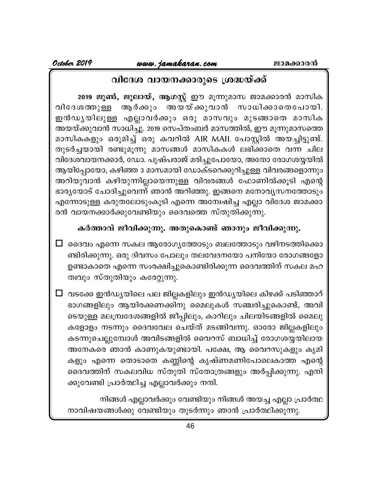### വിദേശ വായനക്കാരുടെ ശ്രദ്ധയ്ക്ക്

2019 ജൂൺ, ജൂലായ്, ആഗസ്റ്റ് ഈ മൂന്നുമാസ ജാമക്കാരൻ മാസിക അയയ്ക്കുവാൻ സാധിക്കാതെപോയി. ആർക്കും വിദേശത്തുള്ള ഇൻഡൃയിലുള്ള എല്ലാവർക്കും ഒരു മാസവും മുടങ്ങാതെ മാസിക അയയ്ക്കുവാൻ സാധിച്ചു. 2019 സെപ്തംബർ മാസത്തിൽ, ഈ മൂന്നുമാസത്തെ മാസികകളും ഒരുമിച്ച് ഒരു കവറിൽ AIR MAIL പോസ്റ്റിൽ അയച്ചിട്ടുണ്ട്. തുടർച്ചയായി രണ്ടുമൂന്നു മാസങ്ങൾ മാസികകൾ ലഭിക്കാതെ വന്ന ചില വിദേശവായനക്കാർ, ഡോ. പുഷ്പരാജ് മരിച്ചുപോയോ, അതോ രോഗശയ്യയിൽ ആയിപ്പോയോ, കഴിഞ്ഞ 3 മാസമായി ഡോക്ടറെക്കുറിച്ചുള്ള വിവരങ്ങളൊന്നും അറിയുവാൻ കഴിയുന്നില്ലായെന്നുള്ള വിവരങ്ങൾ ഫോണിൽക്കൂടി എന്റെ ഭാര്യയോട് ചോദിച്ചുവെന്ന് ഞാൻ അറിഞ്ഞു. ഇങ്ങനെ മനോവ്യസനത്തോടും എന്നോടുള്ള കരുതലോടുംകൂടി എന്നെ അന്വേഷിച്ച എല്ലാ വിദേശ ജാമക്കാ രൻ വായനക്കാർക്കുവേണ്ടിയും ദൈവത്തെ സ്തുതിക്കുന്നു.

### കർത്താവ് ജീവിക്കുന്നു. അതുകൊണ്ട് ഞാനും ജീവിക്കുന്നു.

 $\Box$  ദൈവം എന്നെ സകല ആരോഗ്യത്തോടും ബലത്തോടും വഴിനടത്തിക്കൊ ണ്ടിരിക്കുന്നു. ഒരു ദിവസം പോലും തലവേദനയോ പനിയോ രോഗങ്ങളോ ഉണ്ടാകാതെ എന്നെ സംരക്ഷിച്ചുകൊണ്ടിരിക്കുന്ന ദൈവത്തിന് സകല മഹ ത്വവും സ്തുതിയും കരേറ്റുന്നു.

 $\Box$  വടക്കേ ഇൻഡ്യയിലെ പല ജില്ലകളിലും ഇൻഡ്യയിലെ കിഴക്ക് പടിഞ്ഞാറ് ഭാഗങ്ങളിലും ആയിരക്കണക്കിനു മൈലുകൾ സഞ്ചരിച്ചുകൊണ്ട്, അവി ടെയുള്ള മലമ്പ്രദേശങ്ങളിൽ ജീപ്പിലും, കാറിലും ചിലയിടങ്ങളിൽ മൈലു കളോളം നടന്നും ദൈവവേല ചെയ്ത് മടങ്ങിവന്നു. ഓരോ ജില്ലകളിലും കടന്നുചെല്ലുമ്പോൾ അവിടങ്ങളിൽ വൈറസ് ബാധിച്ച് രോഗശയ്യയിലായ അനേകരെ ഞാൻ കാണുകയുണ്ടായി. പക്ഷേ, ആ വൈറസുകളും കൃമി കളും എന്നെ തൊടാതെ കണ്ണിന്റെ കൃഷ്ണമണിപോലെകാത്ത എന്റെ ദൈവത്തിന് സകലവിധ സ്തുതി സ്തോത്രങ്ങളും അർപ്പിക്കുന്നു. എനി ക്കുവേണ്ടി പ്രാർത്ഥിച്ച എല്ലാവർക്കും നന്ദി.

നിങ്ങൾ എല്ലാവർക്കും വേണ്ടിയും നിങ്ങൾ അയച്ച എല്ലാ പ്രാർത്ഥ നാവിഷയങ്ങൾക്കു വേണ്ടിയും തുടർന്നും ഞാൻ പ്രാർത്ഥിക്കുന്നു.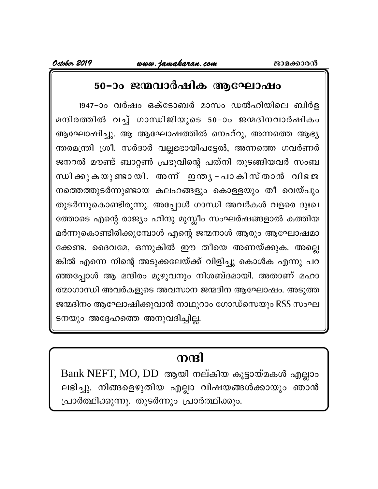### 50-ാം ജന്മവാർഷിക ആഘോഷം

1947-ാം വർഷം ഒക്ടോബർ മാസം ഡൽഹിയിലെ ബിർള മന്ദിരത്തിൽ വച്ച് ഗാന്ധിജിയുടെ 50-ാം ജന്മദിനവാർഷികം ആഘോഷിച്ചു. ആ ആഘോഷത്തിൽ നെഹ്റു, അന്നത്തെ ആഭ്യ ന്തരമന്ത്രി ശ്രീ. സർദാർ വല്ലഭഭായിപട്ടേൽ, അന്നത്തെ ഗവർണർ ജനറൽ മൗണ്ട് ബാറ്റൺ പ്രഭുവിന്റെ പത്നി തുടങ്ങിയവർ സംബ ന്ധിക്കുകയുണ്ടായി. അന്ന് ഇന്ത്യ - പാകിസ്താൻ വിഭജ നത്തെത്തുടർന്നുണ്ടായ കലഹങ്ങളും കൊള്ളയും തീ വെയ്പും തുടർന്നുകൊണ്ടിരുന്നു. അപ്പോൾ ഗാന്ധി അവർകൾ വളരെ ദുഃഖ ത്തോടെ എന്റെ രാജ്യം ഹിന്ദു മുസ്ലീം സംഘർഷങ്ങളാൽ കത്തിയ മർന്നുകൊണ്ടിരിക്കുമ്പോൾ എന്റെ ജന്മനാൾ ആരും ആഘോഷമാ ക്കേണ്ട. ദൈവമേ, ഒന്നുകിൽ ഈ തീയെ അണയ്ക്കുക. അല്ലെ ങ്കിൽ എന്നെ നിന്റെ അടുക്കലേയ്ക്ക് വിളിച്ചു കൊൾക എന്നു പറ ഞ്ഞപ്പോൾ ആ മന്ദിരം മുഴുവനും നിശബ്ദമായി. അതാണ് മഹാ ത്മാഗാന്ധി അവർകളുടെ അവസാന ജന്മദിന ആഘോഷം. അടുത്ത ജന്മദിനം ആഘോഷിക്കുവാൻ നാഥുറാം ഗോഡ്സെയും RSS സംഘ ടനയും അദ്ദേഹത്തെ അനുവദിച്ചില്ല.

# നന്ദി

Bank NEFT, MO, DD ആയി നല്കിയ കൂട്ടായ്മകൾ എല്ലാം ലഭിച്ചു. നിങ്ങളെഴുതിയ എല്ലാ വിഷയങ്ങൾക്കായും ഞാൻ പ്രാർത്ഥിക്കുന്നു. തുടർന്നും പ്രാർത്ഥിക്കും.